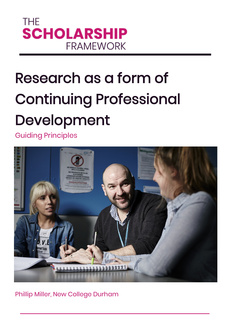

# Research as a form of Continuing Professional Development

Guiding Principles



Phillip Miller, New College Durham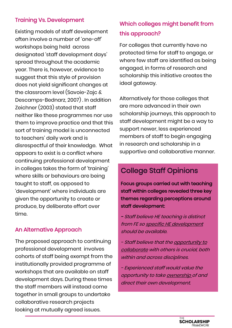#### Training Vs. Development

Existing models of staff development often involve a number of 'one-off' workshops being held across designated 'staff development days' spread throughout the academic year. There is, however, evidence to suggest that this style of provision does not yield significant changes at the classroom level (Savoie-Zajc & Descamps-Bednarz, 2007) . In addition Zeichner (2003) stated that staff neither like these programmes nor use them to improve practice and that this sort of training model is unconnected to teachers' daily work and is disrespectful of their knowledge. What appears to exist is a conflict where continuing professional development in colleges takes the form of 'training' where skills or behaviours are being taught to staff, as opposed to 'development' where individuals are given the opportunity to create or produce, by deliberate effort over time.

## An Alternative Approach

The proposed approach to continuing professional development involves cohorts of staff being exempt from the institutionally provided programme of workshops that are available on staff development days. During these times the staff members will instead come together in small groups to undertake collaborative research projects looking at mutually agreed issues.

## Which colleges might benefit from this approach?

For colleges that currently have no protected time for staff to engage, or where few staff are identified as being engaged, in forms of research and scholarship this initiative creates the ideal gateway.

Alternatively for those colleges that are more advanced in their own scholarship journeys, this approach to staff development might be a way to support newer, less experienced members of staff to begin engaging in research and scholarship in a supportive and collaborative manner.

# College Staff Opinions

Focus groups carried out with teaching staff within colleges revealed three key themes regarding perceptions around staff development:

- Staff believe HE teaching is distinct from FE so specific HE development should be available.

- Staff believe that the <u>opportunity to</u> collaborate with others is crucial, both within and across disciplines.

- Experienced staff would value the opportunity to take ownership of and direct their own development.

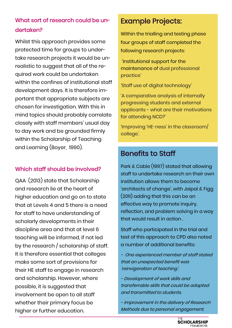## What sort of research could be undertaken?

Whilst this approach provides some protected time for groups to undertake research projects it would be unrealistic to suggest that all of the required work could be undertaken within the confines of institutional staff development days. It is therefore important that appropriate subjects are chosen for investigation. With this in mind topics should probably correlate closely with staff members' usual day to day work and be grounded firmly within the Scholarship of Teaching and Learning (Boyer, 1990).

## Which staff should be involved?

QAA (2013) state that Scholarship and research lie at the heart of higher education and go on to state that at Levels 4 and 5 there is a need for staff to have understanding of scholarly developments in their discipline area and that at level 6 teaching will be informed, if not led by the research / scholarship of staff. It is therefore essential that colleges make some sort of provisions for their HE staff to engage in research and scholarship. However, where possible, it is suggested that involvement be open to all staff whether their primary focus be higher or further education.

# Example Projects:

Within the trialling and testing phase four groups of staff completed the following research projects:

'Institutional support for the maintenance of dual professional practice'

'Staff use of digital technology'

'A comparative analysis of internally progressing students and external applicants - what are their motivations for attending NCD?'

'Improving 'HE-ness' in the classroom/ college'.

# Benefits to Staff

Park & Cable (1997) stated that allowing staff to undertake research on their own institution allows them to become 'architects of change', with Jaipal & Figg (2011) adding that this can be an effective way to promote inquiry, reflection, and problem solving in a way that would result in action .

Staff who participated in the trial and test of this approach to CPD also noted a number of additional benefits:

- One experienced member of staff stated that an unexpected benefit was 'reinvigoration of teaching'.

- Development of work skills and transferrable skills that could be adapted and transmitted to students.

- Improvement in the delivery of Research Methods due to personal engagement.